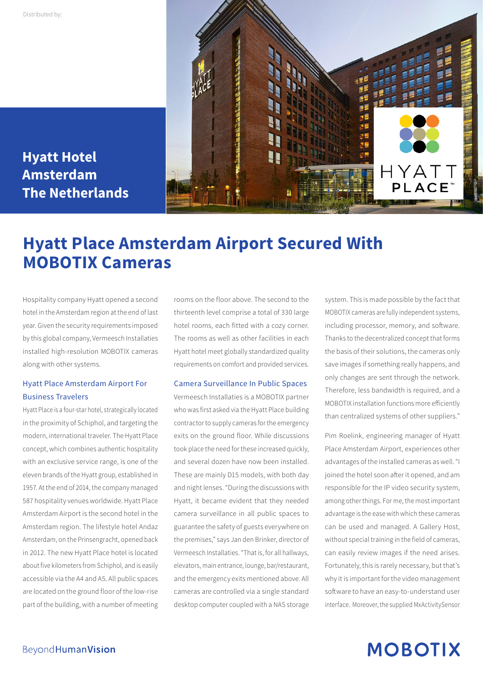

**Hyatt Hotel Amsterdam The Netherlands**

### **Hyatt Place Amsterdam Airport Secured With MOBOTIX Cameras**

Hospitality company Hyatt opened a second hotel in the Amsterdam region at the end of last year. Given the security requirements imposed by this global company, Vermeesch Installaties installed high-resolution MOBOTIX cameras along with other systems.

### Hyatt Place Amsterdam Airport For Business Travelers

Hyatt Place is a four-star hotel, strategically located in the proximity of Schiphol, and targeting the modern, international traveler. The Hyatt Place concept, which combines authentic hospitality with an exclusive service range, is one of the eleven brands of the Hyatt group, established in 1957. At the end of 2014, the company managed 587 hospitality venues worldwide. Hyatt Place Amsterdam Airport is the second hotel in the Amsterdam region. The lifestyle hotel Andaz Amsterdam, on the Prinsengracht, opened back in 2012. The new Hyatt Place hotel is located about five kilometers from Schiphol, and is easily accessible via the A4 and A5. All public spaces are located on the ground floor of the low-rise part of the building, with a number of meeting

rooms on the floor above. The second to the thirteenth level comprise a total of 330 large hotel rooms, each fitted with a cozy corner. The rooms as well as other facilities in each Hyatt hotel meet globally standardized quality requirements on comfort and provided services.

#### Camera Surveillance In Public Spaces

Vermeesch Installaties is a MOBOTIX partner who was first asked via the Hyatt Place building contractor to supply cameras for the emergency exits on the ground floor. While discussions took place the need for these increased quickly, and several dozen have now been installed. These are mainly D15 models, with both day and night lenses. "During the discussions with Hyatt, it became evident that they needed camera surveillance in all public spaces to guarantee the safety of guests everywhere on the premises," says Jan den Brinker, director of Vermeesch Installaties. "That is, for all hallways, elevators, main entrance, lounge, bar/restaurant, and the emergency exits mentioned above. All cameras are controlled via a single standard desktop computer coupled with a NAS storage

system. This is made possible by the fact that MOBOTIX cameras are fully independent systems, including processor, memory, and software. Thanks to the decentralized concept that forms the basis of their solutions, the cameras only save images if something really happens, and only changes are sent through the network. Therefore, less bandwidth is required, and a MOBOTIX installation functions more efficiently than centralized systems of other suppliers."

Pim Roelink, engineering manager of Hyatt Place Amsterdam Airport, experiences other advantages of the installed cameras as well. "I joined the hotel soon after it opened, and am responsible for the IP video security system, among other things. For me, the most important advantage is the ease with which these cameras can be used and managed. A Gallery Host, without special training in the field of cameras, can easily review images if the need arises. Fortunately, this is rarely necessary, but that's why it is important for the video management software to have an easy-to-understand user interface. Moreover, the supplied MxActivitySensor

## **MOBOTIX**